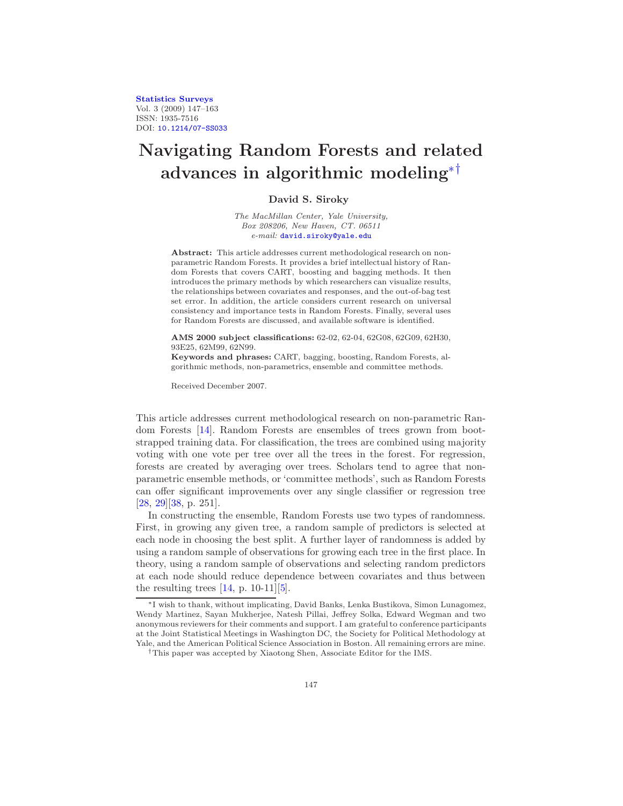[Statistics Surveys](http://www.i-journals.org/ss) Vol. 3 (2009) 147–163 ISSN: 1935-7516 DOI: [10.1214/07-SS033](http://dx.doi.org/10.1214/07-SS033)

# Navigating Random Forests and related advances in algorithmic modeling[∗](#page-0-0)[†](#page-0-1)

# David S. Siroky

The MacMillan Center, Yale University, Box 208206, New Haven, CT. 06511 e-mail: [david.siroky@yale.edu](mailto:david.siroky@yale.edu)

Abstract: This article addresses current methodological research on nonparametric Random Forests. It provides a brief intellectual history of Random Forests that covers CART, boosting and bagging methods. It then introduces the primary methods by which researchers can visualize results, the relationships between covariates and responses, and the out-of-bag test set error. In addition, the article considers current research on universal consistency and importance tests in Random Forests. Finally, several uses for Random Forests are discussed, and available software is identified.

AMS 2000 subject classifications: 62-02, 62-04, 62G08, 62G09, 62H30, 93E25, 62M99, 62N99.

Keywords and phrases: CART, bagging, boosting, Random Forests, algorithmic methods, non-parametrics, ensemble and committee methods.

Received December 2007.

This article addresses current methodological research on non-parametric Random Forests [\[14\]](#page-12-0). Random Forests are ensembles of trees grown from bootstrapped training data. For classification, the trees are combined using majority voting with one vote per tree over all the trees in the forest. For regression, forests are created by averaging over trees. Scholars tend to agree that nonparametric ensemble methods, or 'committee methods', such as Random Forests can offer significant improvements over any single classifier or regression tree [\[28,](#page-13-0) [29\]](#page-13-1)[\[38,](#page-14-0) p. 251].

In constructing the ensemble, Random Forests use two types of randomness. First, in growing any given tree, a random sample of predictors is selected at each node in choosing the best split. A further layer of randomness is added by using a random sample of observations for growing each tree in the first place. In theory, using a random sample of observations and selecting random predictors at each node should reduce dependence between covariates and thus between the resulting trees  $[14, p. 10-11][5]$  $[14, p. 10-11][5]$ .

<span id="page-0-0"></span><sup>∗</sup> I wish to thank, without implicating, David Banks, Lenka Bustikova, Simon Lunagomez, Wendy Martinez, Sayan Mukherjee, Natesh Pillai, Jeffrey Solka, Edward Wegman and two anonymous reviewers for their comments and support. I am grateful to conference participants at the Joint Statistical Meetings in Washington DC, the Society for Political Methodology at Yale, and the American Political Science Association in Boston. All remaining errors are mine.

<span id="page-0-1"></span><sup>†</sup>This paper was accepted by Xiaotong Shen, Associate Editor for the IMS.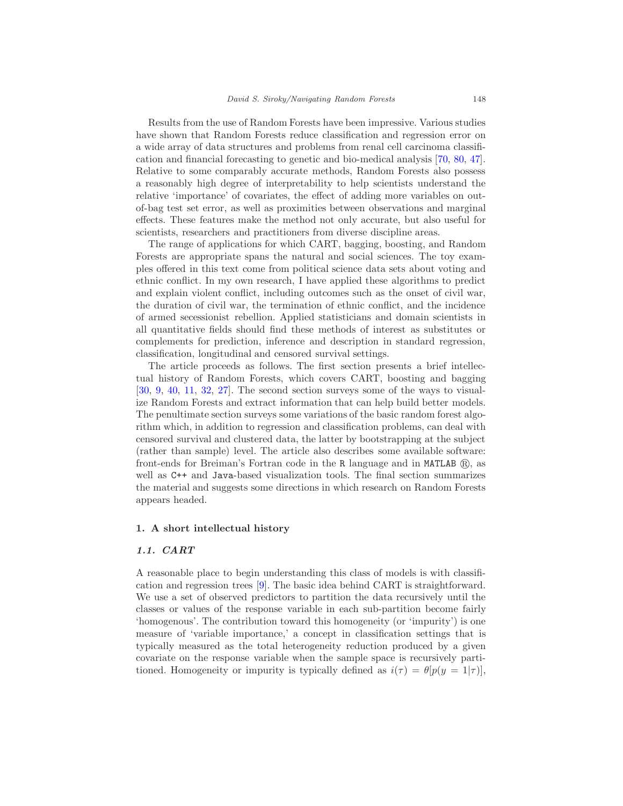Results from the use of Random Forests have been impressive. Various studies have shown that Random Forests reduce classification and regression error on a wide array of data structures and problems from renal cell carcinoma classification and financial forecasting to genetic and bio-medical analysis [\[70,](#page-15-0) [80,](#page-16-0) [47\]](#page-14-1). Relative to some comparably accurate methods, Random Forests also possess a reasonably high degree of interpretability to help scientists understand the relative 'importance' of covariates, the effect of adding more variables on outof-bag test set error, as well as proximities between observations and marginal effects. These features make the method not only accurate, but also useful for scientists, researchers and practitioners from diverse discipline areas.

The range of applications for which CART, bagging, boosting, and Random Forests are appropriate spans the natural and social sciences. The toy examples offered in this text come from political science data sets about voting and ethnic conflict. In my own research, I have applied these algorithms to predict and explain violent conflict, including outcomes such as the onset of civil war, the duration of civil war, the termination of ethnic conflict, and the incidence of armed secessionist rebellion. Applied statisticians and domain scientists in all quantitative fields should find these methods of interest as substitutes or complements for prediction, inference and description in standard regression, classification, longitudinal and censored survival settings.

The article proceeds as follows. The first section presents a brief intellectual history of Random Forests, which covers CART, boosting and bagging [\[30,](#page-13-2) [9,](#page-12-2) [40,](#page-14-2) [11,](#page-12-3) [32,](#page-13-3) [27\]](#page-13-4). The second section surveys some of the ways to visualize Random Forests and extract information that can help build better models. The penultimate section surveys some variations of the basic random forest algorithm which, in addition to regression and classification problems, can deal with censored survival and clustered data, the latter by bootstrapping at the subject (rather than sample) level. The article also describes some available software: front-ends for Breiman's Fortran code in the  $R$  language and in MATLAB  $(R)$ , as well as  $C++$  and Java-based visualization tools. The final section summarizes the material and suggests some directions in which research on Random Forests appears headed.

## 1. A short intellectual history

### 1.1. CART

A reasonable place to begin understanding this class of models is with classification and regression trees [\[9\]](#page-12-2). The basic idea behind CART is straightforward. We use a set of observed predictors to partition the data recursively until the classes or values of the response variable in each sub-partition become fairly 'homogenous'. The contribution toward this homogeneity (or 'impurity') is one measure of 'variable importance,' a concept in classification settings that is typically measured as the total heterogeneity reduction produced by a given covariate on the response variable when the sample space is recursively partitioned. Homogeneity or impurity is typically defined as  $i(\tau) = \theta[p(y = 1|\tau)],$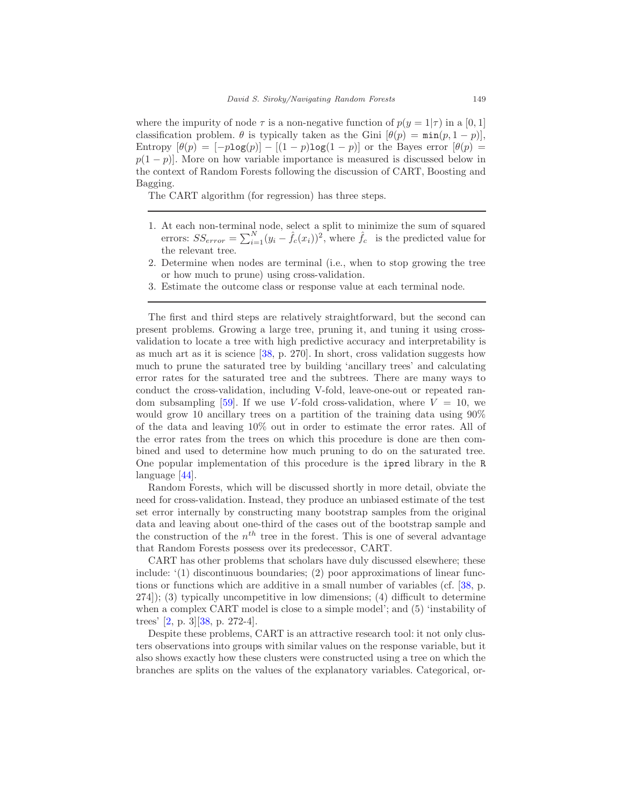where the impurity of node  $\tau$  is a non-negative function of  $p(y = 1|\tau)$  in a [0, 1] classification problem.  $\theta$  is typically taken as the Gini  $[\theta(p) = \min(p, 1 - p)],$ Entropy  $[\theta(p) = [-p \log(p)] - [(1-p) \log(1-p)]$  or the Bayes error  $[\theta(p) =$  $p(1-p)$ . More on how variable importance is measured is discussed below in the context of Random Forests following the discussion of CART, Boosting and Bagging.

The CART algorithm (for regression) has three steps.

- 1. At each non-terminal node, select a split to minimize the sum of squared errors:  $SS_{error} = \sum_{i=1}^{N} (y_i - \hat{f}_c(x_i))^2$ , where  $\hat{f}_c$  is the predicted value for the relevant tree.
- 2. Determine when nodes are terminal (i.e., when to stop growing the tree or how much to prune) using cross-validation.
- 3. Estimate the outcome class or response value at each terminal node.

The first and third steps are relatively straightforward, but the second can present problems. Growing a large tree, pruning it, and tuning it using crossvalidation to locate a tree with high predictive accuracy and interpretability is as much art as it is science [\[38,](#page-14-0) p. 270]. In short, cross validation suggests how much to prune the saturated tree by building 'ancillary trees' and calculating error rates for the saturated tree and the subtrees. There are many ways to conduct the cross-validation, including V-fold, leave-one-out or repeated ran-dom subsampling [\[59\]](#page-15-1). If we use V-fold cross-validation, where  $V = 10$ , we would grow 10 ancillary trees on a partition of the training data using 90% of the data and leaving 10% out in order to estimate the error rates. All of the error rates from the trees on which this procedure is done are then combined and used to determine how much pruning to do on the saturated tree. One popular implementation of this procedure is the ipred library in the R language [\[44\]](#page-14-3).

Random Forests, which will be discussed shortly in more detail, obviate the need for cross-validation. Instead, they produce an unbiased estimate of the test set error internally by constructing many bootstrap samples from the original data and leaving about one-third of the cases out of the bootstrap sample and the construction of the  $n<sup>th</sup>$  tree in the forest. This is one of several advantage that Random Forests possess over its predecessor, CART.

CART has other problems that scholars have duly discussed elsewhere; these include: '(1) discontinuous boundaries; (2) poor approximations of linear functions or functions which are additive in a small number of variables (cf. [\[38,](#page-14-0) p. 274]); (3) typically uncompetitive in low dimensions; (4) difficult to determine when a complex CART model is close to a simple model'; and  $(5)$  'instability of trees' [\[2,](#page-12-4) p. 3][\[38,](#page-14-0) p. 272-4].

Despite these problems, CART is an attractive research tool: it not only clusters observations into groups with similar values on the response variable, but it also shows exactly how these clusters were constructed using a tree on which the branches are splits on the values of the explanatory variables. Categorical, or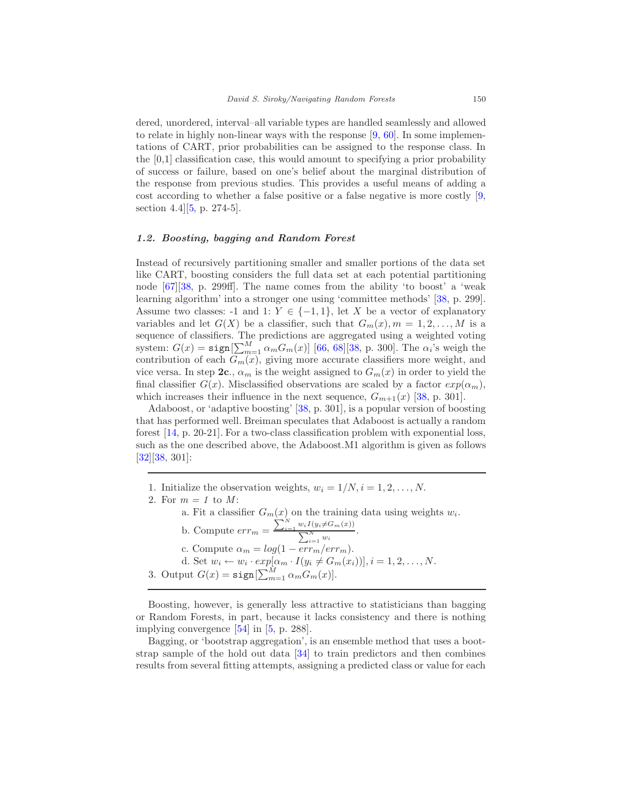dered, unordered, interval–all variable types are handled seamlessly and allowed to relate in highly non-linear ways with the response [\[9,](#page-12-2) [60\]](#page-15-2). In some implementations of CART, prior probabilities can be assigned to the response class. In the [0,1] classification case, this would amount to specifying a prior probability of success or failure, based on one's belief about the marginal distribution of the response from previous studies. This provides a useful means of adding a cost according to whether a false positive or a false negative is more costly [\[9,](#page-12-2) section 4.4 $[5, p. 274-5]$  $[5, p. 274-5]$ .

#### 1.2. Boosting, bagging and Random Forest

Instead of recursively partitioning smaller and smaller portions of the data set like CART, boosting considers the full data set at each potential partitioning node [\[67\]](#page-15-3)[\[38,](#page-14-0) p. 299ff]. The name comes from the ability 'to boost' a 'weak learning algorithm' into a stronger one using 'committee methods' [\[38,](#page-14-0) p. 299]. Assume two classes: -1 and 1:  $Y \in \{-1, 1\}$ , let X be a vector of explanatory variables and let  $G(X)$  be a classifier, such that  $G_m(x), m = 1, 2, ..., M$  is a sequence of classifiers. The predictions are aggregated using a weighted voting system:  $G(x) = \text{sign}[\sum_{m=1}^{M} \alpha_m G_m(x)]$  [\[66,](#page-15-4) [68\]](#page-15-5)[\[38,](#page-14-0) p. 300]. The  $\alpha_i$ 's weigh the contribution of each  $G_m(x)$ , giving more accurate classifiers more weight, and vice versa. In step 2c.,  $\alpha_m$  is the weight assigned to  $G_m(x)$  in order to yield the final classifier  $G(x)$ . Misclassified observations are scaled by a factor  $exp(\alpha_m)$ , which increases their influence in the next sequence,  $G_{m+1}(x)$  [\[38,](#page-14-0) p. 301].

Adaboost, or 'adaptive boosting' [\[38,](#page-14-0) p. 301], is a popular version of boosting that has performed well. Breiman speculates that Adaboost is actually a random forest [\[14,](#page-12-0) p. 20-21]. For a two-class classification problem with exponential loss, such as the one described above, the Adaboost.M1 algorithm is given as follows [\[32\]](#page-13-3)[\[38,](#page-14-0) 301]:

- 1. Initialize the observation weights,  $w_i = 1/N$ ,  $i = 1, 2, \ldots, N$ .
- 2. For  $m = 1$  to  $M$ :
	- a. Fit a classifier  $G_m(x)$  on the training data using weights  $w_i$ .
	- b. Compute  $err_m = \frac{\sum_{i=1}^{N} w_i I(y_i \neq G_m(x))}{\sum_{i=1}^{N}}$  $\frac{\sum_{i=1}^{N} w_i}{\sum_{i=1}^{N} w_i}.$
	- c. Compute  $\alpha_m = log(1 err_m/err_m)$ . d. Set  $w_i \leftarrow w_i \cdot exp[\alpha_m \cdot I(y_i \neq G_m(x_i))]$ ,  $i = 1, 2, \ldots, N$ .
- 3. Output  $G(x) = \text{sign}[\sum_{m=1}^{M} \alpha_m G_m(x)].$

Boosting, however, is generally less attractive to statisticians than bagging or Random Forests, in part, because it lacks consistency and there is nothing implying convergence [\[54\]](#page-15-6) in [\[5,](#page-12-1) p. 288].

Bagging, or 'bootstrap aggregation', is an ensemble method that uses a bootstrap sample of the hold out data [\[34\]](#page-13-5) to train predictors and then combines results from several fitting attempts, assigning a predicted class or value for each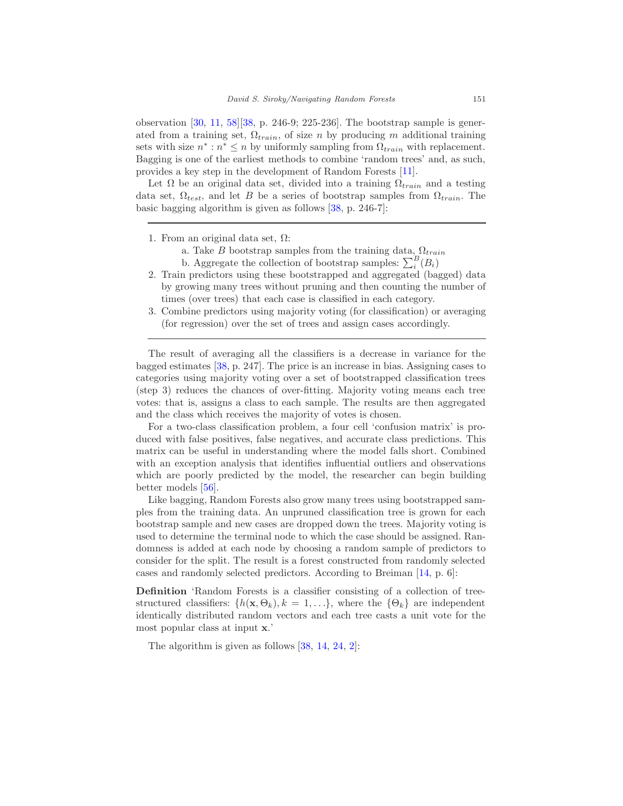observation [\[30,](#page-13-2) [11,](#page-12-3) [58\]](#page-15-7)[\[38,](#page-14-0) p. 246-9; 225-236]. The bootstrap sample is generated from a training set,  $\Omega_{train}$ , of size n by producing m additional training sets with size  $n^* : n^* \leq n$  by uniformly sampling from  $\Omega_{train}$  with replacement. Bagging is one of the earliest methods to combine 'random trees' and, as such, provides a key step in the development of Random Forests [\[11\]](#page-12-3).

Let  $\Omega$  be an original data set, divided into a training  $\Omega_{train}$  and a testing data set,  $\Omega_{test}$ , and let B be a series of bootstrap samples from  $\Omega_{train}$ . The basic bagging algorithm is given as follows [\[38,](#page-14-0) p. 246-7]:

- 1. From an original data set, Ω:
	- a. Take B bootstrap samples from the training data,  $\Omega_{train}$
	- b. Aggregate the collection of bootstrap samples:  $\sum_{i}^{B}(B_i)$
- 2. Train predictors using these bootstrapped and aggregated (bagged) data by growing many trees without pruning and then counting the number of times (over trees) that each case is classified in each category.
- 3. Combine predictors using majority voting (for classification) or averaging (for regression) over the set of trees and assign cases accordingly.

The result of averaging all the classifiers is a decrease in variance for the bagged estimates [\[38,](#page-14-0) p. 247]. The price is an increase in bias. Assigning cases to categories using majority voting over a set of bootstrapped classification trees (step 3) reduces the chances of over-fitting. Majority voting means each tree votes: that is, assigns a class to each sample. The results are then aggregated and the class which receives the majority of votes is chosen.

For a two-class classification problem, a four cell 'confusion matrix' is produced with false positives, false negatives, and accurate class predictions. This matrix can be useful in understanding where the model falls short. Combined with an exception analysis that identifies influential outliers and observations which are poorly predicted by the model, the researcher can begin building better models [\[56\]](#page-15-8).

Like bagging, Random Forests also grow many trees using bootstrapped samples from the training data. An unpruned classification tree is grown for each bootstrap sample and new cases are dropped down the trees. Majority voting is used to determine the terminal node to which the case should be assigned. Randomness is added at each node by choosing a random sample of predictors to consider for the split. The result is a forest constructed from randomly selected cases and randomly selected predictors. According to Breiman [\[14,](#page-12-0) p. 6]:

Definition 'Random Forests is a classifier consisting of a collection of treestructured classifiers:  $\{h(\mathbf{x}, \Theta_k), k = 1, ...\}$ , where the  $\{\Theta_k\}$  are independent identically distributed random vectors and each tree casts a unit vote for the most popular class at input x.'

The algorithm is given as follows [\[38,](#page-14-0) [14,](#page-12-0) [24,](#page-13-6) [2\]](#page-12-4):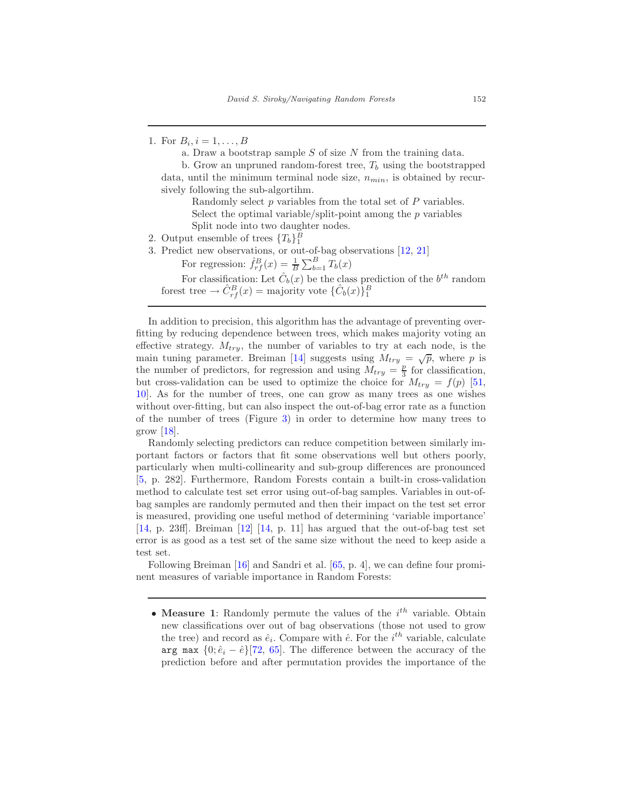1. For  $B_i$ ,  $i = 1, ..., B$ 

a. Draw a bootstrap sample S of size N from the training data.

b. Grow an unpruned random-forest tree,  $T_b$  using the bootstrapped data, until the minimum terminal node size,  $n_{min}$ , is obtained by recursively following the sub-algortihm.

Randomly select  $p$  variables from the total set of  $P$  variables. Select the optimal variable/split-point among the  $p$  variables Split node into two daughter nodes.

- 2. Output ensemble of trees  $\{T_b\}_1^B$
- 3. Predict new observations, or out-of-bag observations [\[12,](#page-12-5) [21\]](#page-13-7)
	- For regression:  $\hat{f}_{rf}^B(x) = \frac{1}{B} \sum_{b=1}^B T_b(x)$

For classification: Let  $\hat{C}_b(x)$  be the class prediction of the  $b^{th}$  random forest tree  $\rightarrow \hat{C}_{rf}^B(x) =$  majority vote  $\{\hat{C}_b(x)\}_1^B$ 

In addition to precision, this algorithm has the advantage of preventing overfitting by reducing dependence between trees, which makes majority voting an effective strategy.  $M_{try}$ , the number of variables to try at each node, is the main tuning parameter. Breiman [\[14\]](#page-12-0) suggests using  $\tilde{M}_{try} = \sqrt{p}$ , where p is the number of predictors, for regression and using  $M_{try} = \frac{p}{3}$  $\frac{p}{3}$  for classification, but cross-validation can be used to optimize the choice for  $M_{try} = f(p)$  [\[51,](#page-14-4) [10\]](#page-12-6). As for the number of trees, one can grow as many trees as one wishes without over-fitting, but can also inspect the out-of-bag error rate as a function of the number of trees (Figure [3\)](#page-9-0) in order to determine how many trees to grow  $[18]$ .

Randomly selecting predictors can reduce competition between similarly important factors or factors that fit some observations well but others poorly, particularly when multi-collinearity and sub-group differences are pronounced [\[5,](#page-12-1) p. 282]. Furthermore, Random Forests contain a built-in cross-validation method to calculate test set error using out-of-bag samples. Variables in out-ofbag samples are randomly permuted and then their impact on the test set error is measured, providing one useful method of determining 'variable importance' [\[14,](#page-12-0) p. 23ff]. Breiman [\[12\]](#page-12-5) [\[14,](#page-12-0) p. 11] has argued that the out-of-bag test set error is as good as a test set of the same size without the need to keep aside a test set.

Following Breiman [\[16\]](#page-12-8) and Sandri et al. [\[65,](#page-15-9) p. 4], we can define four prominent measures of variable importance in Random Forests:

• Measure 1: Randomly permute the values of the  $i^{th}$  variable. Obtain new classifications over out of bag observations (those not used to grow the tree) and record as  $\hat{e}_i$ . Compare with  $\hat{e}$ . For the  $i^{th}$  variable, calculate arg max  $\{0;\hat{e}_i - \hat{e}\}\$ [\[72,](#page-16-1) [65\]](#page-15-9). The difference between the accuracy of the prediction before and after permutation provides the importance of the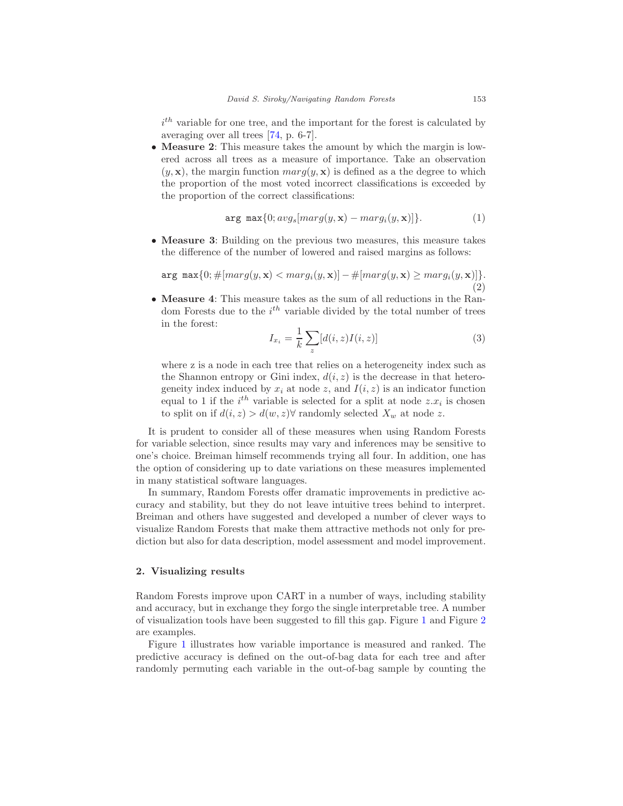$i<sup>th</sup>$  variable for one tree, and the important for the forest is calculated by averaging over all trees [\[74,](#page-16-2) p. 6-7].

• Measure 2: This measure takes the amount by which the margin is lowered across all trees as a measure of importance. Take an observation  $(y, x)$ , the margin function  $marq(y, x)$  is defined as a the degree to which the proportion of the most voted incorrect classifications is exceeded by the proportion of the correct classifications:

$$
\arg \max\{0; avg_s[ marg(y, \mathbf{x}) - marg_i(y, \mathbf{x})]\}.
$$
 (1)

• Measure 3: Building on the previous two measures, this measure takes the difference of the number of lowered and raised margins as follows:

 $\arg \max\{0; \#[marg(y, \mathbf{x})] < marg_i(y, \mathbf{x})\} - \#[marg(y, \mathbf{x}) \geq marg_i(y, \mathbf{x})]\}.$ (2)

• Measure 4: This measure takes as the sum of all reductions in the Random Forests due to the  $i^{th}$  variable divided by the total number of trees in the forest:

$$
I_{x_i} = \frac{1}{k} \sum_{z} [d(i, z)I(i, z)] \tag{3}
$$

where z is a node in each tree that relies on a heterogeneity index such as the Shannon entropy or Gini index,  $d(i, z)$  is the decrease in that heterogeneity index induced by  $x_i$  at node z, and  $I(i, z)$  is an indicator function equal to 1 if the  $i^{th}$  variable is selected for a split at node  $z.x_i$  is chosen to split on if  $d(i, z) > d(w, z)$  randomly selected  $X_w$  at node z.

It is prudent to consider all of these measures when using Random Forests for variable selection, since results may vary and inferences may be sensitive to one's choice. Breiman himself recommends trying all four. In addition, one has the option of considering up to date variations on these measures implemented in many statistical software languages.

In summary, Random Forests offer dramatic improvements in predictive accuracy and stability, but they do not leave intuitive trees behind to interpret. Breiman and others have suggested and developed a number of clever ways to visualize Random Forests that make them attractive methods not only for prediction but also for data description, model assessment and model improvement.

## 2. Visualizing results

Random Forests improve upon CART in a number of ways, including stability and accuracy, but in exchange they forgo the single interpretable tree. A number of visualization tools have been suggested to fill this gap. Figure [1](#page-7-0) and Figure [2](#page-8-0) are examples.

Figure [1](#page-7-0) illustrates how variable importance is measured and ranked. The predictive accuracy is defined on the out-of-bag data for each tree and after randomly permuting each variable in the out-of-bag sample by counting the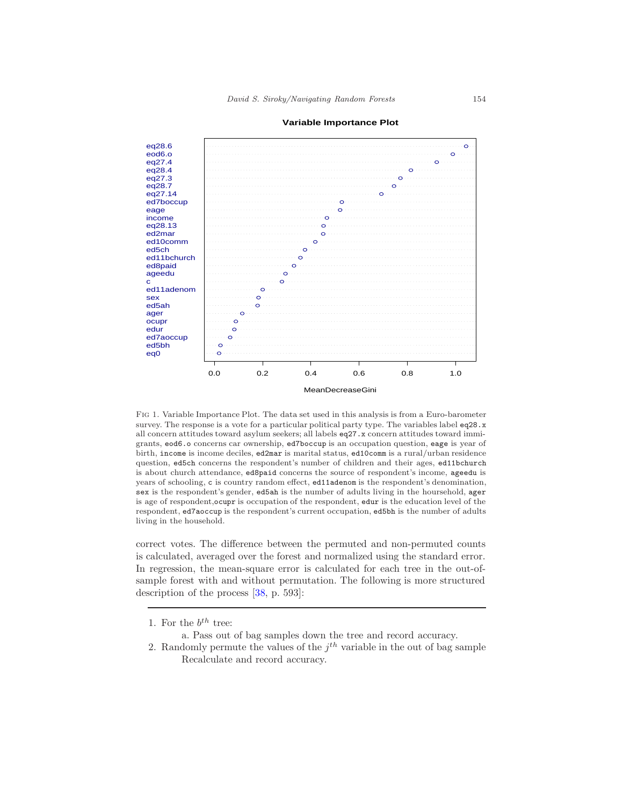

#### **Variable Importance Plot**

<span id="page-7-0"></span>Fig 1. Variable Importance Plot. The data set used in this analysis is from a Euro-barometer survey. The response is a vote for a particular political party type. The variables label  $eq28.x$ all concern attitudes toward asylum seekers; all labels eq27.x concern attitudes toward immigrants, eod6.o concerns car ownership, ed7boccup is an occupation question, eage is year of birth, income is income deciles, ed2mar is marital status, ed10comm is a rural/urban residence question, ed5ch concerns the respondent's number of children and their ages, ed11bchurch is about church attendance, ed8paid concerns the source of respondent's income, ageedu is years of schooling, c is country random effect, ed11adenom is the respondent's denomination, sex is the respondent's gender, ed5ah is the number of adults living in the hoursehold, ager is age of respondent,ocupr is occupation of the respondent, edur is the education level of the respondent, ed7aoccup is the respondent's current occupation, ed5bh is the number of adults living in the household.

correct votes. The difference between the permuted and non-permuted counts is calculated, averaged over the forest and normalized using the standard error. In regression, the mean-square error is calculated for each tree in the out-ofsample forest with and without permutation. The following is more structured description of the process [\[38,](#page-14-0) p. 593]:

2. Randomly permute the values of the  $j<sup>th</sup>$  variable in the out of bag sample Recalculate and record accuracy.

<sup>1.</sup> For the  $b^{th}$  tree:

a. Pass out of bag samples down the tree and record accuracy.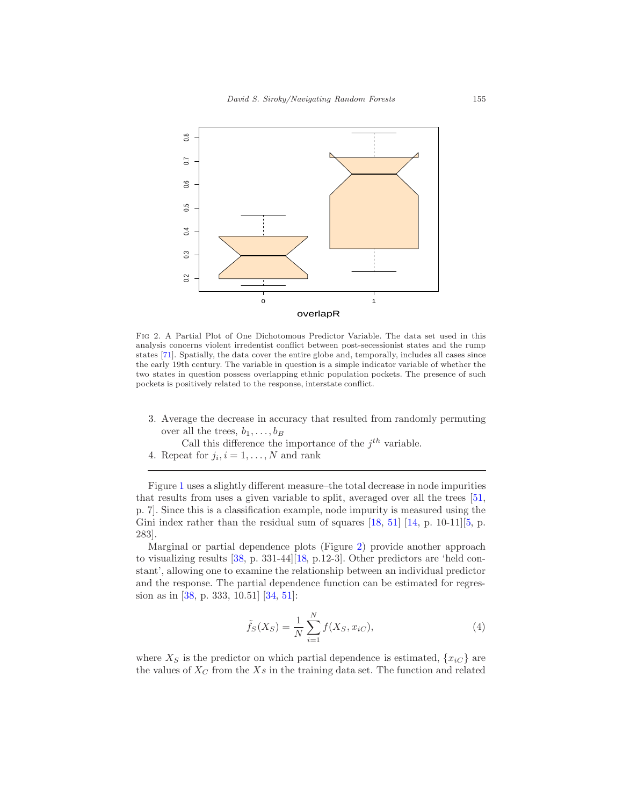

<span id="page-8-0"></span>Fig 2. A Partial Plot of One Dichotomous Predictor Variable. The data set used in this analysis concerns violent irredentist conflict between post-secessionist states and the rump states [\[71\]](#page-16-3). Spatially, the data cover the entire globe and, temporally, includes all cases since the early 19th century. The variable in question is a simple indicator variable of whether the two states in question possess overlapping ethnic population pockets. The presence of such pockets is positively related to the response, interstate conflict.

3. Average the decrease in accuracy that resulted from randomly permuting over all the trees,  $b_1, \ldots, b_B$ 

Call this difference the importance of the  $j^{th}$  variable.

4. Repeat for  $j_i, i = 1, \ldots, N$  and rank

Figure [1](#page-7-0) uses a slightly different measure–the total decrease in node impurities that results from uses a given variable to split, averaged over all the trees [\[51,](#page-14-4) p. 7]. Since this is a classification example, node impurity is measured using the Gini index rather than the residual sum of squares  $[18, 51]$  $[18, 51]$   $[14, p. 10-11]$  $[5, p. 10-11]$  $[5, p. 10-11]$ 283].

Marginal or partial dependence plots (Figure [2\)](#page-8-0) provide another approach to visualizing results [\[38,](#page-14-0) p. 331-44][\[18,](#page-12-7) p.12-3]. Other predictors are 'held constant', allowing one to examine the relationship between an individual predictor and the response. The partial dependence function can be estimated for regression as in [\[38,](#page-14-0) p. 333, 10.51] [\[34,](#page-13-5) [51\]](#page-14-4):

$$
\tilde{f}_S(X_S) = \frac{1}{N} \sum_{i=1}^N f(X_S, x_{iC}),
$$
\n(4)

where  $X<sub>S</sub>$  is the predictor on which partial dependence is estimated,  $\{x_{iC}\}$  are the values of  $X_C$  from the  $Xs$  in the training data set. The function and related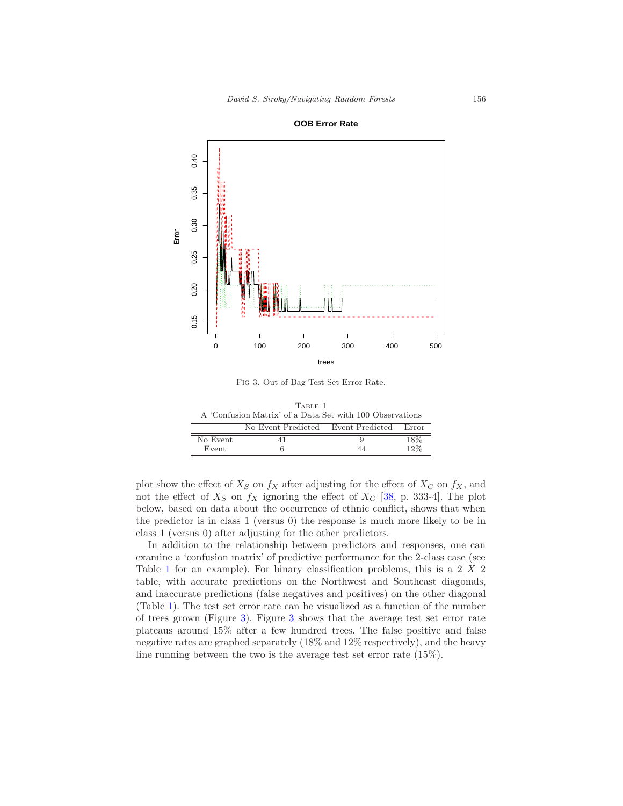

#### **OOB Error Rate**

Fig 3. Out of Bag Test Set Error Rate.

<span id="page-9-0"></span>

| TABLE 1                                                  |                                    |  |       |
|----------------------------------------------------------|------------------------------------|--|-------|
| A 'Confusion Matrix' of a Data Set with 100 Observations |                                    |  |       |
|                                                          | No Event Predicted Event Predicted |  | Error |
| No Event                                                 |                                    |  | 18%   |
| Event                                                    |                                    |  | 12%   |

<span id="page-9-1"></span>plot show the effect of  $X_S$  on  $f_X$  after adjusting for the effect of  $X_C$  on  $f_X$ , and not the effect of  $X_S$  on  $f_X$  ignoring the effect of  $X_C$  [\[38,](#page-14-0) p. 333-4]. The plot below, based on data about the occurrence of ethnic conflict, shows that when the predictor is in class 1 (versus 0) the response is much more likely to be in class 1 (versus 0) after adjusting for the other predictors.

In addition to the relationship between predictors and responses, one can examine a 'confusion matrix' of predictive performance for the 2-class case (see Table [1](#page-9-1) for an example). For binary classification problems, this is a 2 X 2 table, with accurate predictions on the Northwest and Southeast diagonals, and inaccurate predictions (false negatives and positives) on the other diagonal (Table [1\)](#page-9-1). The test set error rate can be visualized as a function of the number of trees grown (Figure [3\)](#page-9-0). Figure [3](#page-9-0) shows that the average test set error rate plateaus around 15% after a few hundred trees. The false positive and false negative rates are graphed separately (18% and 12% respectively), and the heavy line running between the two is the average test set error rate (15%).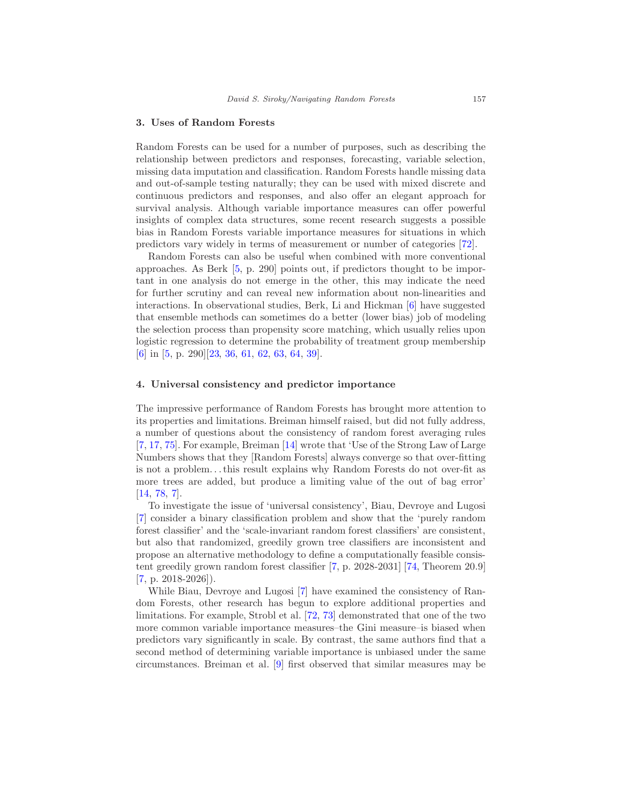## 3. Uses of Random Forests

Random Forests can be used for a number of purposes, such as describing the relationship between predictors and responses, forecasting, variable selection, missing data imputation and classification. Random Forests handle missing data and out-of-sample testing naturally; they can be used with mixed discrete and continuous predictors and responses, and also offer an elegant approach for survival analysis. Although variable importance measures can offer powerful insights of complex data structures, some recent research suggests a possible bias in Random Forests variable importance measures for situations in which predictors vary widely in terms of measurement or number of categories [\[72\]](#page-16-1).

Random Forests can also be useful when combined with more conventional approaches. As Berk [\[5,](#page-12-1) p. 290] points out, if predictors thought to be important in one analysis do not emerge in the other, this may indicate the need for further scrutiny and can reveal new information about non-linearities and interactions. In observational studies, Berk, Li and Hickman [\[6\]](#page-12-9) have suggested that ensemble methods can sometimes do a better (lower bias) job of modeling the selection process than propensity score matching, which usually relies upon logistic regression to determine the probability of treatment group membership [\[6\]](#page-12-9) in [\[5,](#page-12-1) p. 290][\[23,](#page-13-8) [36,](#page-14-5) [61,](#page-15-10) [62,](#page-15-11) [63,](#page-15-12) [64,](#page-15-13) [39\]](#page-14-6).

## 4. Universal consistency and predictor importance

The impressive performance of Random Forests has brought more attention to its properties and limitations. Breiman himself raised, but did not fully address, a number of questions about the consistency of random forest averaging rules [\[7,](#page-12-10) [17,](#page-12-11) [75\]](#page-16-4). For example, Breiman [\[14\]](#page-12-0) wrote that 'Use of the Strong Law of Large Numbers shows that they [Random Forests] always converge so that over-fitting is not a problem. . . this result explains why Random Forests do not over-fit as more trees are added, but produce a limiting value of the out of bag error' [\[14,](#page-12-0) [78,](#page-16-5) [7\]](#page-12-10).

To investigate the issue of 'universal consistency', Biau, Devroye and Lugosi [\[7\]](#page-12-10) consider a binary classification problem and show that the 'purely random forest classifier' and the 'scale-invariant random forest classifiers' are consistent, but also that randomized, greedily grown tree classifiers are inconsistent and propose an alternative methodology to define a computationally feasible consistent greedily grown random forest classifier [\[7,](#page-12-10) p. 2028-2031] [\[74,](#page-16-2) Theorem 20.9] [\[7,](#page-12-10) p. 2018-2026]).

While Biau, Devroye and Lugosi [\[7\]](#page-12-10) have examined the consistency of Random Forests, other research has begun to explore additional properties and limitations. For example, Strobl et al. [\[72,](#page-16-1) [73\]](#page-16-6) demonstrated that one of the two more common variable importance measures–the Gini measure–is biased when predictors vary significantly in scale. By contrast, the same authors find that a second method of determining variable importance is unbiased under the same circumstances. Breiman et al. [\[9\]](#page-12-2) first observed that similar measures may be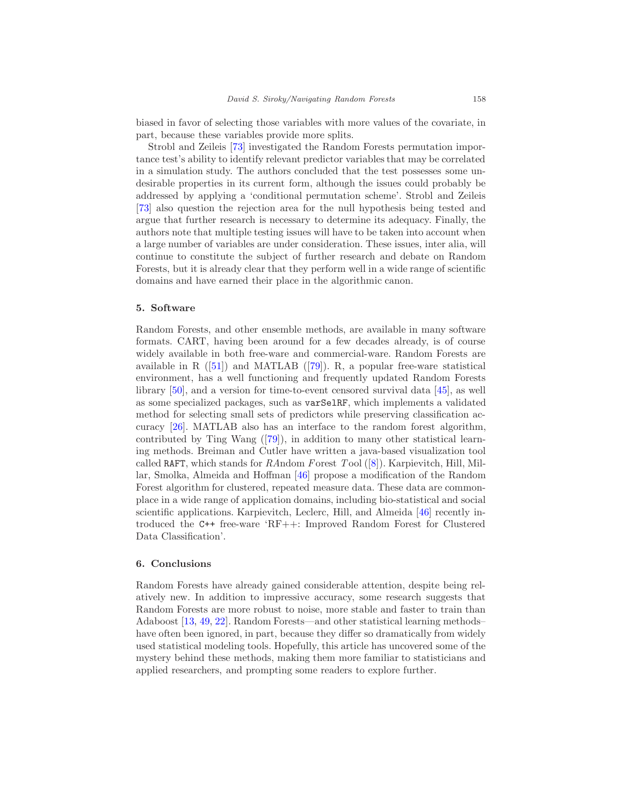biased in favor of selecting those variables with more values of the covariate, in part, because these variables provide more splits.

Strobl and Zeileis [\[73\]](#page-16-6) investigated the Random Forests permutation importance test's ability to identify relevant predictor variables that may be correlated in a simulation study. The authors concluded that the test possesses some undesirable properties in its current form, although the issues could probably be addressed by applying a 'conditional permutation scheme'. Strobl and Zeileis [\[73\]](#page-16-6) also question the rejection area for the null hypothesis being tested and argue that further research is necessary to determine its adequacy. Finally, the authors note that multiple testing issues will have to be taken into account when a large number of variables are under consideration. These issues, inter alia, will continue to constitute the subject of further research and debate on Random Forests, but it is already clear that they perform well in a wide range of scientific domains and have earned their place in the algorithmic canon.

# 5. Software

Random Forests, and other ensemble methods, are available in many software formats. CART, having been around for a few decades already, is of course widely available in both free-ware and commercial-ware. Random Forests are available in R  $([51])$  $([51])$  $([51])$  and MATLAB  $([79])$  $([79])$  $([79])$ . R, a popular free-ware statistical environment, has a well functioning and frequently updated Random Forests library [\[50\]](#page-14-7), and a version for time-to-event censored survival data [\[45\]](#page-14-8), as well as some specialized packages, such as varSelRF, which implements a validated method for selecting small sets of predictors while preserving classification accuracy [\[26\]](#page-13-9). MATLAB also has an interface to the random forest algorithm, contributed by Ting Wang ([\[79\]](#page-16-7)), in addition to many other statistical learning methods. Breiman and Cutler have written a java-based visualization tool called RAFT, which stands for  $RA$ ndom  $F$ orest  $T$ ool ([\[8\]](#page-12-12)). Karpievitch, Hill, Millar, Smolka, Almeida and Hoffman [\[46\]](#page-14-9) propose a modification of the Random Forest algorithm for clustered, repeated measure data. These data are commonplace in a wide range of application domains, including bio-statistical and social scientific applications. Karpievitch, Leclerc, Hill, and Almeida [\[46\]](#page-14-9) recently introduced the C++ free-ware 'RF++: Improved Random Forest for Clustered Data Classification'.

# 6. Conclusions

Random Forests have already gained considerable attention, despite being relatively new. In addition to impressive accuracy, some research suggests that Random Forests are more robust to noise, more stable and faster to train than Adaboost [\[13,](#page-12-13) [49,](#page-14-10) [22\]](#page-13-10). Random Forests—and other statistical learning methods– have often been ignored, in part, because they differ so dramatically from widely used statistical modeling tools. Hopefully, this article has uncovered some of the mystery behind these methods, making them more familiar to statisticians and applied researchers, and prompting some readers to explore further.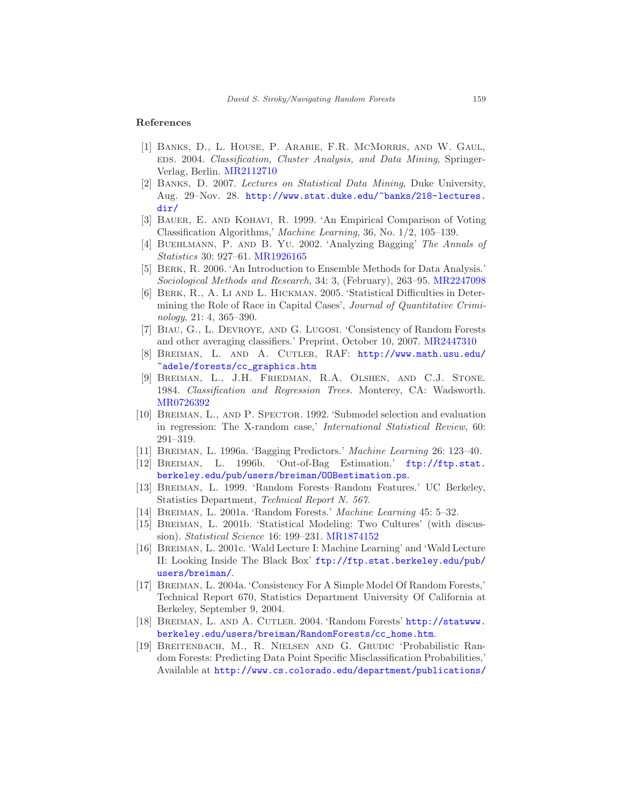# References

- [1] Banks, D., L. House, P. Arabie, F.R. McMorris, and W. Gaul, EDS. 2004. Classification, Cluster Analysis, and Data Mining, Springer-Verlag, Berlin. [MR2112710](http://www.ams.org/mathscinet-getitem?mr=2112710)
- <span id="page-12-4"></span>[2] Banks, D. 2007. Lectures on Statistical Data Mining, Duke University, Aug. 29–Nov. 28. [http://www.stat.duke.edu/~banks/218-lectures.](http://www.stat.duke.edu/~banks/218-lectures.dir/) [dir/](http://www.stat.duke.edu/~banks/218-lectures.dir/)
- [3] Bauer, E. and Kohavi, R. 1999. 'An Empirical Comparison of Voting Classification Algorithms,' Machine Learning, 36, No. 1/2, 105–139.
- <span id="page-12-1"></span>[4] Buehlmann, P. and B. Yu. 2002. 'Analyzing Bagging' The Annals of Statistics 30: 927–61. [MR1926165](http://www.ams.org/mathscinet-getitem?mr=1926165)
- [5] Berk, R. 2006. 'An Introduction to Ensemble Methods for Data Analysis.' Sociological Methods and Research, 34: 3, (February), 263–95. [MR2247098](http://www.ams.org/mathscinet-getitem?mr=2247098)
- <span id="page-12-9"></span>[6] Berk, R., A. Li and L. Hickman. 2005. 'Statistical Difficulties in Determining the Role of Race in Capital Cases', Journal of Quantitative Criminology, 21: 4, 365–390.
- <span id="page-12-10"></span>[7] Biau, G., L. Devroye, and G. Lugosi. 'Consistency of Random Forests and other averaging classifiers.' Preprint, October 10, 2007. [MR2447310](http://www.ams.org/mathscinet-getitem?mr=2447310)
- <span id="page-12-12"></span><span id="page-12-2"></span>[8] Breiman, L. and A. Cutler, RAF: [http://www.math.usu.edu/](http://www.math.usu.edu/~adele/forests/cc_graphics.htm) [~adele/forests/cc\\_graphics.htm](http://www.math.usu.edu/~adele/forests/cc_graphics.htm)
- [9] Breiman, L., J.H. Friedman, R.A. Olshen, and C.J. Stone. 1984. Classification and Regression Trees. Monterey, CA: Wadsworth. [MR0726392](http://www.ams.org/mathscinet-getitem?mr=0726392)
- <span id="page-12-6"></span>[10] Breiman, L., and P. Spector. 1992. 'Submodel selection and evaluation in regression: The X-random case,' International Statistical Review, 60: 291–319.
- <span id="page-12-3"></span>[11] BREIMAN, L. 1996a. 'Bagging Predictors.' Machine Learning 26: 123-40.
- <span id="page-12-5"></span>[12] BREIMAN, L. 1996b. 'Out-of-Bag Estimation.' [ftp://ftp.stat.](ftp://ftp.stat.berkeley.edu/pub/users/breiman/OOBestimation.ps) [berkeley.edu/pub/users/breiman/OOBestimation.ps](ftp://ftp.stat.berkeley.edu/pub/users/breiman/OOBestimation.ps).
- <span id="page-12-13"></span>[13] Breiman, L. 1999. 'Random Forests–Random Features.' UC Berkeley, Statistics Department, Technical Report N. 567.
- <span id="page-12-0"></span>[14] Breiman, L. 2001a. 'Random Forests.' Machine Learning 45: 5–32.
- [15] Breiman, L. 2001b. 'Statistical Modeling: Two Cultures' (with discussion). Statistical Science 16: 199–231. [MR1874152](http://www.ams.org/mathscinet-getitem?mr=1874152)
- <span id="page-12-8"></span>[16] BREIMAN, L. 2001c. 'Wald Lecture I: Machine Learning' and 'Wald Lecture II: Looking Inside The Black Box' [ftp://ftp.stat.berkeley.edu/pub/](ftp://ftp.stat.berkeley.edu/pub/users/breiman/) [users/breiman/](ftp://ftp.stat.berkeley.edu/pub/users/breiman/).
- <span id="page-12-11"></span>[17] Breiman, L. 2004a. 'Consistency For A Simple Model Of Random Forests,' Technical Report 670, Statistics Department University Of California at Berkeley, September 9, 2004.
- <span id="page-12-7"></span>[18] Breiman, L. and A. Cutler. 2004. 'Random Forests' [http://statwww.](http://statwww.berkeley.edu/users/breiman/RandomForests/cc_home.htm) [berkeley.edu/users/breiman/RandomForests/cc\\_home.htm](http://statwww.berkeley.edu/users/breiman/RandomForests/cc_home.htm).
- [19] Breitenbach, M., R. Nielsen and G. Grudic 'Probabilistic Random Forests: Predicting Data Point Specific Misclassification Probabilities,' Available at [http://www.cs.colorado.edu/department/publications/](http://www.cs.colorado.edu/department/publications/reports/docs/CU-CS-954-03.pdf)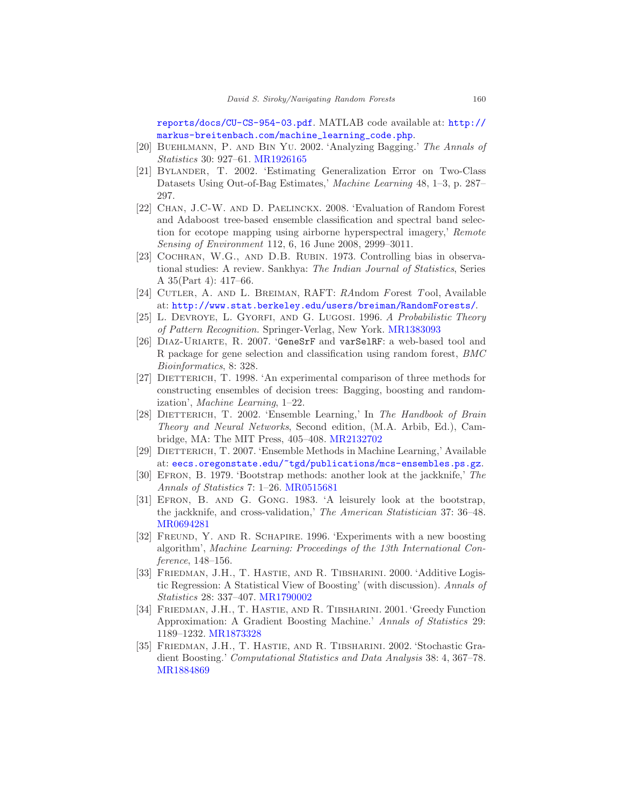[reports/docs/CU-CS-954-03.pdf](http://www.cs.colorado.edu/department/publications/reports/docs/CU-CS-954-03.pdf). MATLAB code available at: [http://](http://markus-breitenbach.com/machine_learning_code.php) [markus-breitenbach.com/machine\\_learning\\_code.php](http://markus-breitenbach.com/machine_learning_code.php).

- <span id="page-13-7"></span>[20] Buehlmann, P. and Bin Yu. 2002. 'Analyzing Bagging.' The Annals of Statistics 30: 927–61. [MR1926165](http://www.ams.org/mathscinet-getitem?mr=1926165)
- [21] Bylander, T. 2002. 'Estimating Generalization Error on Two-Class Datasets Using Out-of-Bag Estimates,' Machine Learning 48, 1–3, p. 287– 297.
- <span id="page-13-10"></span>[22] Chan, J.C-W. and D. Paelinckx. 2008. 'Evaluation of Random Forest and Adaboost tree-based ensemble classification and spectral band selection for ecotope mapping using airborne hyperspectral imagery,' Remote Sensing of Environment 112, 6, 16 June 2008, 2999–3011.
- <span id="page-13-8"></span>[23] COCHRAN, W.G., AND D.B. RUBIN. 1973. Controlling bias in observational studies: A review. Sankhya: The Indian Journal of Statistics, Series A 35(Part 4): 417–66.
- <span id="page-13-6"></span>[24] CUTLER, A. AND L. BREIMAN, RAFT: RAndom Forest Tool, Available at: <http://www.stat.berkeley.edu/users/breiman/RandomForests/>.
- [25] L. Devroye, L. Gyorfi, and G. Lugosi. 1996. A Probabilistic Theory of Pattern Recognition. Springer-Verlag, New York. [MR1383093](http://www.ams.org/mathscinet-getitem?mr=1383093)
- <span id="page-13-9"></span>[26] Diaz-Uriarte, R. 2007. 'GeneSrF and varSelRF: a web-based tool and R package for gene selection and classification using random forest, BMC Bioinformatics, 8: 328.
- <span id="page-13-4"></span>[27] DIETTERICH, T. 1998. 'An experimental comparison of three methods for constructing ensembles of decision trees: Bagging, boosting and randomization', Machine Learning, 1–22.
- <span id="page-13-0"></span>[28] DIETTERICH, T. 2002. 'Ensemble Learning,' In The Handbook of Brain Theory and Neural Networks, Second edition, (M.A. Arbib, Ed.), Cambridge, MA: The MIT Press, 405–408. [MR2132702](http://www.ams.org/mathscinet-getitem?mr=2132702)
- <span id="page-13-1"></span>[29] Dietterich, T. 2007. 'Ensemble Methods in Machine Learning,' Available at: <eecs.oregonstate.edu/~tgd/publications/mcs-ensembles.ps.gz>.
- <span id="page-13-2"></span>[30] Efron, B. 1979. 'Bootstrap methods: another look at the jackknife,' The Annals of Statistics 7: 1–26. [MR0515681](http://www.ams.org/mathscinet-getitem?mr=0515681)
- [31] EFRON, B. AND G. GONG. 1983. 'A leisurely look at the bootstrap, the jackknife, and cross-validation,' The American Statistician 37: 36–48. [MR0694281](http://www.ams.org/mathscinet-getitem?mr=0694281)
- <span id="page-13-3"></span>[32] FREUND, Y. AND R. SCHAPIRE. 1996. 'Experiments with a new boosting algorithm', Machine Learning: Proceedings of the 13th International Conference, 148–156.
- [33] FRIEDMAN, J.H., T. HASTIE, AND R. TIBSHARINI. 2000. 'Additive Logistic Regression: A Statistical View of Boosting' (with discussion). Annals of Statistics 28: 337–407. [MR1790002](http://www.ams.org/mathscinet-getitem?mr=1790002)
- <span id="page-13-5"></span>[34] Friedman, J.H., T. Hastie, and R. Tibsharini. 2001. 'Greedy Function Approximation: A Gradient Boosting Machine.' Annals of Statistics 29: 1189–1232. [MR1873328](http://www.ams.org/mathscinet-getitem?mr=1873328)
- [35] Friedman, J.H., T. Hastie, and R. Tibsharini. 2002. 'Stochastic Gradient Boosting.' Computational Statistics and Data Analysis 38: 4, 367–78. [MR1884869](http://www.ams.org/mathscinet-getitem?mr=1884869)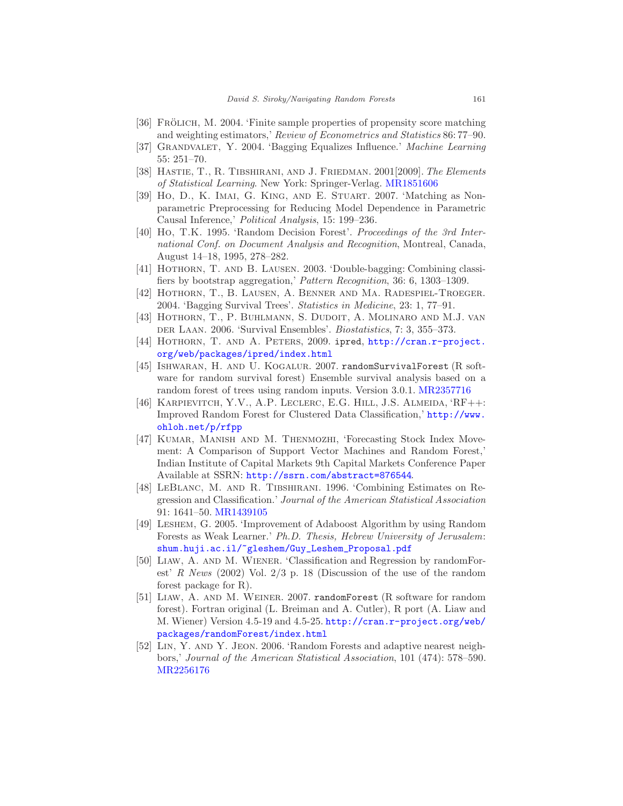- <span id="page-14-5"></span>[36] FRÖLICH, M. 2004. 'Finite sample properties of propensity score matching and weighting estimators,' Review of Econometrics and Statistics 86: 77–90.
- <span id="page-14-0"></span>[37] GRANDVALET, Y. 2004. 'Bagging Equalizes Influence.' Machine Learning 55: 251–70.
- <span id="page-14-6"></span>[38] Hastie, T., R. Tibshirani, and J. Friedman. 2001[2009]. The Elements of Statistical Learning. New York: Springer-Verlag. [MR1851606](http://www.ams.org/mathscinet-getitem?mr=1851606)
- [39] Ho, D., K. Imai, G. King, and E. Stuart. 2007. 'Matching as Nonparametric Preprocessing for Reducing Model Dependence in Parametric Causal Inference,' Political Analysis, 15: 199–236.
- <span id="page-14-2"></span>[40] Ho, T.K. 1995. 'Random Decision Forest'. Proceedings of the 3rd International Conf. on Document Analysis and Recognition, Montreal, Canada, August 14–18, 1995, 278–282.
- [41] HOTHORN, T. AND B. LAUSEN. 2003. 'Double-bagging: Combining classifiers by bootstrap aggregation,' Pattern Recognition, 36: 6, 1303–1309.
- [42] Hothorn, T., B. Lausen, A. Benner and Ma. Radespiel-Troeger. 2004. 'Bagging Survival Trees'. Statistics in Medicine, 23: 1, 77–91.
- [43] Hothorn, T., P. Buhlmann, S. Dudoit, A. Molinaro and M.J. van der Laan. 2006. 'Survival Ensembles'. Biostatistics, 7: 3, 355–373.
- <span id="page-14-8"></span><span id="page-14-3"></span>[44] HOTHORN, T. AND A. PETERS, 2009. ipred, [http://cran.r-project.](http://cran.r-project.org/web/packages/ipred/index.html) [org/web/packages/ipred/index.html](http://cran.r-project.org/web/packages/ipred/index.html)
- [45] Ishwaran, H. and U. Kogalur. 2007. randomSurvivalForest (R software for random survival forest) Ensemble survival analysis based on a random forest of trees using random inputs. Version 3.0.1. [MR2357716](http://www.ams.org/mathscinet-getitem?mr=2357716)
- <span id="page-14-9"></span>[46] Karpievitch, Y.V., A.P. Leclerc, E.G. Hill, J.S. Almeida, 'RF++: Improved Random Forest for Clustered Data Classification,' [http://www.](http://www.ohloh.net/p/rfpp) [ohloh.net/p/rfpp](http://www.ohloh.net/p/rfpp)
- <span id="page-14-1"></span>[47] Kumar, Manish and M. Thenmozhi, 'Forecasting Stock Index Movement: A Comparison of Support Vector Machines and Random Forest,' Indian Institute of Capital Markets 9th Capital Markets Conference Paper Available at SSRN: <http://ssrn.com/abstract=876544>.
- [48] LeBlanc, M. and R. Tibshirani. 1996. 'Combining Estimates on Regression and Classification.' Journal of the American Statistical Association 91: 1641–50. [MR1439105](http://www.ams.org/mathscinet-getitem?mr=1439105)
- <span id="page-14-10"></span>[49] Leshem, G. 2005. 'Improvement of Adaboost Algorithm by using Random Forests as Weak Learner.' Ph.D. Thesis, Hebrew University of Jerusalem: [shum.huji.ac.il/~gleshem/Guy\\_Leshem\\_Proposal.pdf](shum.huji.ac.il/~gleshem/Guy_Leshem_Proposal.pdf)
- <span id="page-14-7"></span>[50] Liaw, A. and M. Wiener. 'Classification and Regression by randomForest' R News (2002) Vol. 2/3 p. 18 (Discussion of the use of the random forest package for R).
- <span id="page-14-4"></span>[51] LIAW, A. AND M. WEINER. 2007. randomForest (R software for random forest). Fortran original (L. Breiman and A. Cutler), R port (A. Liaw and M. Wiener) Version 4.5-19 and 4.5-25. [http://cran.r-project.org/web/](http://cran.r-project.org/web/packages/randomForest/index.html) [packages/randomForest/index.html](http://cran.r-project.org/web/packages/randomForest/index.html)
- [52] Lin, Y. and Y. Jeon. 2006. 'Random Forests and adaptive nearest neighbors,' Journal of the American Statistical Association, 101 (474): 578–590. [MR2256176](http://www.ams.org/mathscinet-getitem?mr=2256176)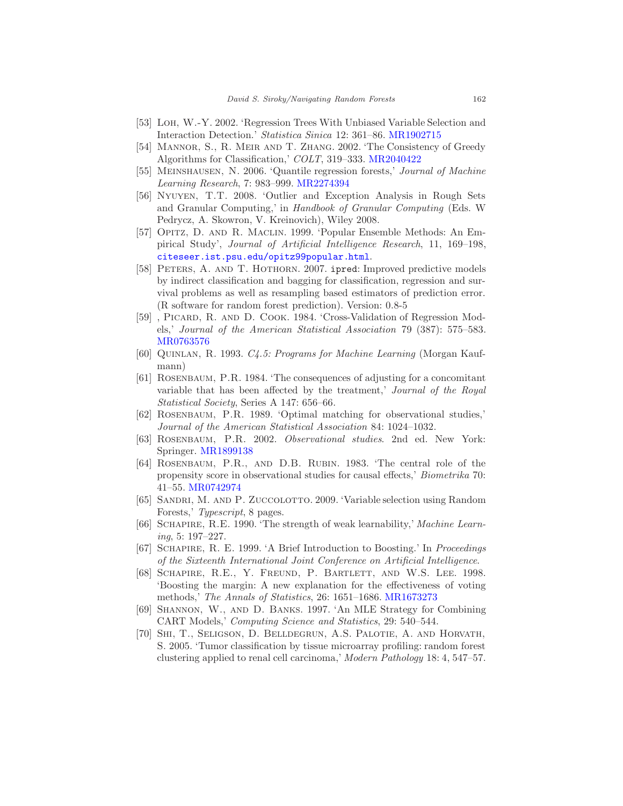- <span id="page-15-6"></span>[53] LOH, W.-Y. 2002. 'Regression Trees With Unbiased Variable Selection and Interaction Detection.' Statistica Sinica 12: 361–86. [MR1902715](http://www.ams.org/mathscinet-getitem?mr=1902715)
- [54] Mannor, S., R. Meir and T. Zhang. 2002. 'The Consistency of Greedy Algorithms for Classification,' COLT, 319–333. [MR2040422](http://www.ams.org/mathscinet-getitem?mr=2040422)
- <span id="page-15-8"></span>[55] Meinshausen, N. 2006. 'Quantile regression forests,' Journal of Machine Learning Research, 7: 983–999. [MR2274394](http://www.ams.org/mathscinet-getitem?mr=2274394)
- [56] Nyuyen, T.T. 2008. 'Outlier and Exception Analysis in Rough Sets and Granular Computing,' in Handbook of Granular Computing (Eds. W Pedrycz, A. Skowron, V. Kreinovich), Wiley 2008.
- [57] OPITZ, D. AND R. MACLIN. 1999. 'Popular Ensemble Methods: An Empirical Study', Journal of Artificial Intelligence Research, 11, 169–198, <citeseer.ist.psu.edu/opitz99popular.html>.
- <span id="page-15-7"></span>[58] PETERS, A. AND T. HOTHORN. 2007. ipred: Improved predictive models by indirect classification and bagging for classification, regression and survival problems as well as resampling based estimators of prediction error. (R software for random forest prediction). Version: 0.8-5
- <span id="page-15-1"></span>[59], PICARD, R. AND D. COOK. 1984. 'Cross-Validation of Regression Models,' Journal of the American Statistical Association 79 (387): 575–583. [MR0763576](http://www.ams.org/mathscinet-getitem?mr=0763576)
- <span id="page-15-2"></span>[60] Quinlan, R. 1993. C4.5: Programs for Machine Learning (Morgan Kaufmann)
- <span id="page-15-10"></span>[61] Rosenbaum, P.R. 1984. 'The consequences of adjusting for a concomitant variable that has been affected by the treatment,' Journal of the Royal Statistical Society, Series A 147: 656–66.
- <span id="page-15-11"></span>[62] ROSENBAUM, P.R. 1989. 'Optimal matching for observational studies,' Journal of the American Statistical Association 84: 1024–1032.
- <span id="page-15-13"></span><span id="page-15-12"></span>[63] Rosenbaum, P.R. 2002. Observational studies. 2nd ed. New York: Springer. [MR1899138](http://www.ams.org/mathscinet-getitem?mr=1899138)
- [64] Rosenbaum, P.R., and D.B. Rubin. 1983. 'The central role of the propensity score in observational studies for causal effects,' Biometrika 70: 41–55. [MR0742974](http://www.ams.org/mathscinet-getitem?mr=0742974)
- <span id="page-15-9"></span>[65] SANDRI, M. AND P. ZUCCOLOTTO. 2009. 'Variable selection using Random Forests,' Typescript, 8 pages.
- <span id="page-15-4"></span><span id="page-15-3"></span>[66] SCHAPIRE, R.E. 1990. 'The strength of weak learnability,' Machine Learning, 5: 197–227.
- [67] SCHAPIRE, R. E. 1999. 'A Brief Introduction to Boosting.' In Proceedings of the Sixteenth International Joint Conference on Artificial Intelligence.
- <span id="page-15-5"></span>[68] SCHAPIRE, R.E., Y. FREUND, P. BARTLETT, AND W.S. LEE. 1998. 'Boosting the margin: A new explanation for the effectiveness of voting methods,' The Annals of Statistics, 26: 1651–1686. [MR1673273](http://www.ams.org/mathscinet-getitem?mr=1673273)
- [69] Shannon, W., and D. Banks. 1997. 'An MLE Strategy for Combining CART Models,' Computing Science and Statistics, 29: 540–544.
- <span id="page-15-0"></span>[70] Shi, T., Seligson, D. Belldegrun, A.S. Palotie, A. and Horvath, S. 2005. 'Tumor classification by tissue microarray profiling: random forest clustering applied to renal cell carcinoma,' Modern Pathology 18: 4, 547–57.